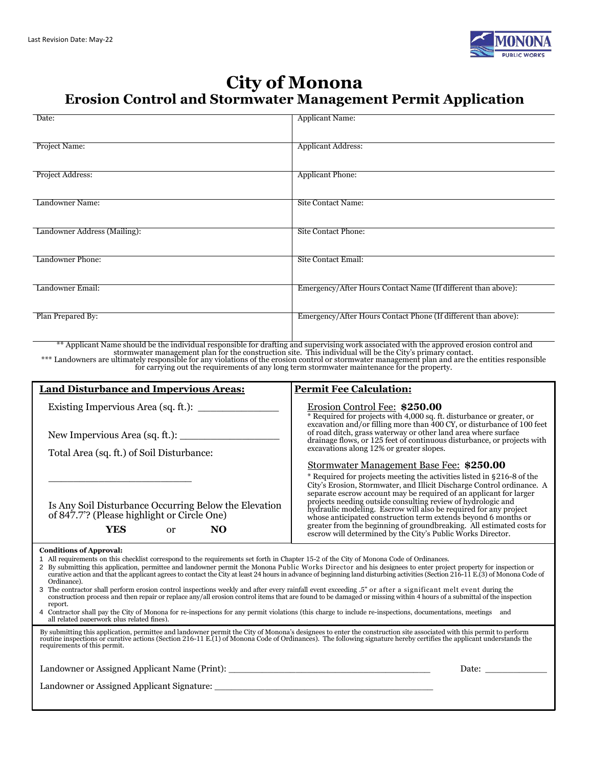

### **City of Monona Erosion Control and Stormwater Management Permit Application**

| Date:                                                                                                                                                                                                                                                                                                                                                                                                                                                                                                                                                                                                                                                                                                                                                                                                                                                                                                                                                                                                                                                                                                                                                                                                                                                                                                                                                                              | <b>Applicant Name:</b>                                                                                                                                                                                                                                                                                                                                                                                                                                                                                                                                                                                                                                                                                                                                                                                                                                                                                                                                                                               |  |  |  |  |
|------------------------------------------------------------------------------------------------------------------------------------------------------------------------------------------------------------------------------------------------------------------------------------------------------------------------------------------------------------------------------------------------------------------------------------------------------------------------------------------------------------------------------------------------------------------------------------------------------------------------------------------------------------------------------------------------------------------------------------------------------------------------------------------------------------------------------------------------------------------------------------------------------------------------------------------------------------------------------------------------------------------------------------------------------------------------------------------------------------------------------------------------------------------------------------------------------------------------------------------------------------------------------------------------------------------------------------------------------------------------------------|------------------------------------------------------------------------------------------------------------------------------------------------------------------------------------------------------------------------------------------------------------------------------------------------------------------------------------------------------------------------------------------------------------------------------------------------------------------------------------------------------------------------------------------------------------------------------------------------------------------------------------------------------------------------------------------------------------------------------------------------------------------------------------------------------------------------------------------------------------------------------------------------------------------------------------------------------------------------------------------------------|--|--|--|--|
| Project Name:                                                                                                                                                                                                                                                                                                                                                                                                                                                                                                                                                                                                                                                                                                                                                                                                                                                                                                                                                                                                                                                                                                                                                                                                                                                                                                                                                                      | <b>Applicant Address:</b>                                                                                                                                                                                                                                                                                                                                                                                                                                                                                                                                                                                                                                                                                                                                                                                                                                                                                                                                                                            |  |  |  |  |
| Project Address:                                                                                                                                                                                                                                                                                                                                                                                                                                                                                                                                                                                                                                                                                                                                                                                                                                                                                                                                                                                                                                                                                                                                                                                                                                                                                                                                                                   | <b>Applicant Phone:</b>                                                                                                                                                                                                                                                                                                                                                                                                                                                                                                                                                                                                                                                                                                                                                                                                                                                                                                                                                                              |  |  |  |  |
| Landowner Name:                                                                                                                                                                                                                                                                                                                                                                                                                                                                                                                                                                                                                                                                                                                                                                                                                                                                                                                                                                                                                                                                                                                                                                                                                                                                                                                                                                    | Site Contact Name:                                                                                                                                                                                                                                                                                                                                                                                                                                                                                                                                                                                                                                                                                                                                                                                                                                                                                                                                                                                   |  |  |  |  |
| Landowner Address (Mailing):                                                                                                                                                                                                                                                                                                                                                                                                                                                                                                                                                                                                                                                                                                                                                                                                                                                                                                                                                                                                                                                                                                                                                                                                                                                                                                                                                       | Site Contact Phone:                                                                                                                                                                                                                                                                                                                                                                                                                                                                                                                                                                                                                                                                                                                                                                                                                                                                                                                                                                                  |  |  |  |  |
| Landowner Phone:                                                                                                                                                                                                                                                                                                                                                                                                                                                                                                                                                                                                                                                                                                                                                                                                                                                                                                                                                                                                                                                                                                                                                                                                                                                                                                                                                                   | Site Contact Email:                                                                                                                                                                                                                                                                                                                                                                                                                                                                                                                                                                                                                                                                                                                                                                                                                                                                                                                                                                                  |  |  |  |  |
| Landowner Email:                                                                                                                                                                                                                                                                                                                                                                                                                                                                                                                                                                                                                                                                                                                                                                                                                                                                                                                                                                                                                                                                                                                                                                                                                                                                                                                                                                   | Emergency/After Hours Contact Name (If different than above):                                                                                                                                                                                                                                                                                                                                                                                                                                                                                                                                                                                                                                                                                                                                                                                                                                                                                                                                        |  |  |  |  |
| Plan Prepared By:                                                                                                                                                                                                                                                                                                                                                                                                                                                                                                                                                                                                                                                                                                                                                                                                                                                                                                                                                                                                                                                                                                                                                                                                                                                                                                                                                                  | Emergency/After Hours Contact Phone (If different than above):                                                                                                                                                                                                                                                                                                                                                                                                                                                                                                                                                                                                                                                                                                                                                                                                                                                                                                                                       |  |  |  |  |
|                                                                                                                                                                                                                                                                                                                                                                                                                                                                                                                                                                                                                                                                                                                                                                                                                                                                                                                                                                                                                                                                                                                                                                                                                                                                                                                                                                                    | ** Applicant Name should be the individual responsible for drafting and supervising work associated with the approved erosion control and stormwater management plan for the construction site. This individual will be the Ci<br>for carrying out the requirements of any long term stormwater maintenance for the property.                                                                                                                                                                                                                                                                                                                                                                                                                                                                                                                                                                                                                                                                        |  |  |  |  |
| <b>Land Disturbance and Impervious Areas:</b>                                                                                                                                                                                                                                                                                                                                                                                                                                                                                                                                                                                                                                                                                                                                                                                                                                                                                                                                                                                                                                                                                                                                                                                                                                                                                                                                      | <b>Permit Fee Calculation:</b>                                                                                                                                                                                                                                                                                                                                                                                                                                                                                                                                                                                                                                                                                                                                                                                                                                                                                                                                                                       |  |  |  |  |
| Total Area (sq. ft.) of Soil Disturbance:<br>Is Any Soil Disturbance Occurring Below the Elevation<br>of 847.7'? (Please highlight or Circle One)<br><b>YES</b><br>N <sub>O</sub><br><sub>or</sub>                                                                                                                                                                                                                                                                                                                                                                                                                                                                                                                                                                                                                                                                                                                                                                                                                                                                                                                                                                                                                                                                                                                                                                                 | Erosion Control Fee: \$250.00<br>$\overline{*}$ Required for projects with 4,000 sq. ft. disturbance or greater, or excavation and/or filling more than 400 CY, or disturbance of 100 feet<br>of road ditch, grass waterway or other land area where surface<br>drainage flows, or 125 feet of continuous disturbance, or projects with<br>excavations along 12% or greater slopes.<br>Stormwater Management Base Fee: \$250.00<br>* Required for projects meeting the activities listed in §216-8 of the<br>City's Erosion, Stormwater, and Illicit Discharge Control ordinance. A<br>separate escrow account may be required of an applicant for larger<br>projects needing outside consulting review of hydrologic and<br>hydraulic modeling. Escrow will also be required for any project<br>whose anticipated construction term extends beyond 6 months or<br>greater from the beginning of groundbreaking. All estimated costs for escrow will determined by the City's Public Works Director. |  |  |  |  |
| <b>Conditions of Approval:</b><br>1 All requirements on this checklist correspond to the requirements set forth in Chapter 15-2 of the City of Monona Code of Ordinances.<br>2 By submitting this application, permittee and landowner permit the Monona Public Works Director and his designees to enter project property for inspection or<br>curative action and that the applicant agrees to contact the City at least 24 hours in advance of beginning land disturbing activities (Section 216-11 E.(3) of Monona Code of<br>Ordinance).<br>3 The contractor shall perform erosion control inspections weekly and after every rainfall event exceeding .5" or after a significant melt event during the<br>construction process and then repair or replace any/all erosion control items that are found to be damaged or missing within 4 hours of a submittal of the inspection<br>report.<br>Contractor shall pay the City of Monona for re-inspections for any permit violations (this charge to include re-inspections, documentations, meetings and<br>4<br>all related paperwork plus related fines).<br>By submitting this application, permittee and landowner permit the City of Monona's designees to enter the construction site associated with this permit to perform routine inspections or curative actions (Section 216-11 E.<br>requirements of this permit. |                                                                                                                                                                                                                                                                                                                                                                                                                                                                                                                                                                                                                                                                                                                                                                                                                                                                                                                                                                                                      |  |  |  |  |
| Landowner or Assigned Applicant Name (Print): ___________________________________                                                                                                                                                                                                                                                                                                                                                                                                                                                                                                                                                                                                                                                                                                                                                                                                                                                                                                                                                                                                                                                                                                                                                                                                                                                                                                  |                                                                                                                                                                                                                                                                                                                                                                                                                                                                                                                                                                                                                                                                                                                                                                                                                                                                                                                                                                                                      |  |  |  |  |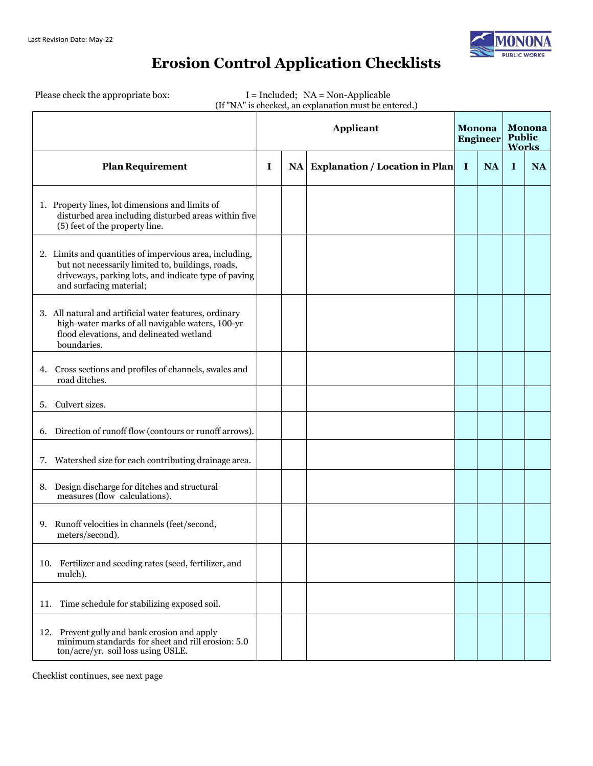

# **Erosion Control Application Checklists**

Please check the appropriate box: I = Included; NA = Non-Applicable

|  | (If "NA" is checked, an explanation must be entered.) |
|--|-------------------------------------------------------|
|  |                                                       |

|                                                                                                                                                                                                 |   | <b>Applicant</b> |                                   |             |           |             | Monona<br><b>Engineer</b> |  | <b>Monona</b><br><b>Public</b><br><b>Works</b> |  |
|-------------------------------------------------------------------------------------------------------------------------------------------------------------------------------------------------|---|------------------|-----------------------------------|-------------|-----------|-------------|---------------------------|--|------------------------------------------------|--|
| <b>Plan Requirement</b>                                                                                                                                                                         | I |                  | NA Explanation / Location in Plan | $\mathbf I$ | <b>NA</b> | $\mathbf I$ | <b>NA</b>                 |  |                                                |  |
| 1. Property lines, lot dimensions and limits of<br>disturbed area including disturbed areas within five<br>(5) feet of the property line.                                                       |   |                  |                                   |             |           |             |                           |  |                                                |  |
| 2. Limits and quantities of impervious area, including,<br>but not necessarily limited to, buildings, roads,<br>driveways, parking lots, and indicate type of paving<br>and surfacing material; |   |                  |                                   |             |           |             |                           |  |                                                |  |
| 3. All natural and artificial water features, ordinary<br>high-water marks of all navigable waters, 100-yr<br>flood elevations, and delineated wetland<br>boundaries.                           |   |                  |                                   |             |           |             |                           |  |                                                |  |
| 4. Cross sections and profiles of channels, swales and<br>road ditches.                                                                                                                         |   |                  |                                   |             |           |             |                           |  |                                                |  |
| Culvert sizes.<br>5.                                                                                                                                                                            |   |                  |                                   |             |           |             |                           |  |                                                |  |
| 6. Direction of runoff flow (contours or runoff arrows).                                                                                                                                        |   |                  |                                   |             |           |             |                           |  |                                                |  |
| Watershed size for each contributing drainage area.<br>7.                                                                                                                                       |   |                  |                                   |             |           |             |                           |  |                                                |  |
| Design discharge for ditches and structural<br>8.<br>measures (flow calculations).                                                                                                              |   |                  |                                   |             |           |             |                           |  |                                                |  |
| Runoff velocities in channels (feet/second,<br>9.<br>meters/second).                                                                                                                            |   |                  |                                   |             |           |             |                           |  |                                                |  |
| 10. Fertilizer and seeding rates (seed, fertilizer, and<br>mulch).                                                                                                                              |   |                  |                                   |             |           |             |                           |  |                                                |  |
| Time schedule for stabilizing exposed soil.<br>11.                                                                                                                                              |   |                  |                                   |             |           |             |                           |  |                                                |  |
| 12. Prevent gully and bank erosion and apply<br>minimum standards for sheet and rill erosion: 5.0<br>ton/acre/yr. soil loss using USLE.                                                         |   |                  |                                   |             |           |             |                           |  |                                                |  |

Checklist continues, see next page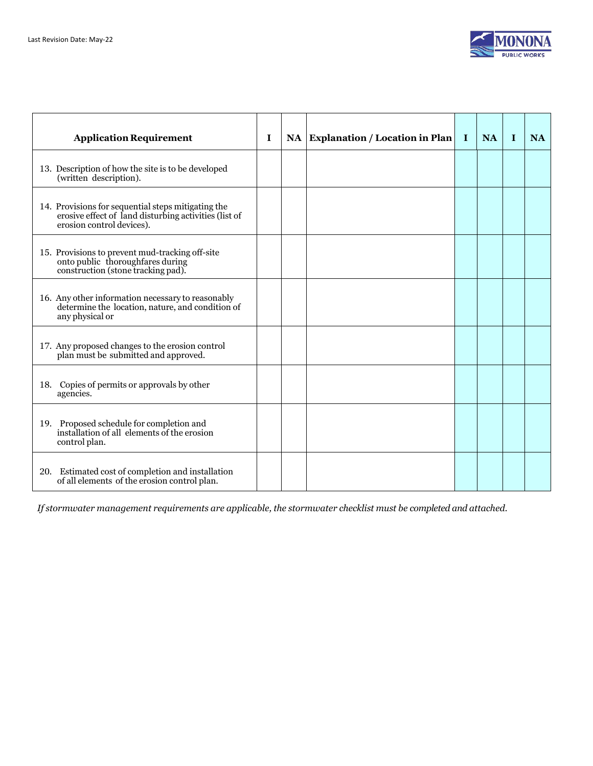

| <b>Application Requirement</b>                                                                                                           | I | NA Explanation / Location in Plan | $\bf{I}$ | <b>NA</b> | $\mathbf{I}$ | <b>NA</b> |
|------------------------------------------------------------------------------------------------------------------------------------------|---|-----------------------------------|----------|-----------|--------------|-----------|
| 13. Description of how the site is to be developed<br>(written description).                                                             |   |                                   |          |           |              |           |
| 14. Provisions for sequential steps mitigating the<br>erosive effect of land disturbing activities (list of<br>erosion control devices). |   |                                   |          |           |              |           |
| 15. Provisions to prevent mud-tracking off-site<br>onto public thoroughfares during<br>construction (stone tracking pad).                |   |                                   |          |           |              |           |
| 16. Any other information necessary to reasonably<br>determine the location, nature, and condition of<br>any physical or                 |   |                                   |          |           |              |           |
| 17. Any proposed changes to the erosion control<br>plan must be submitted and approved.                                                  |   |                                   |          |           |              |           |
| 18. Copies of permits or approvals by other<br>agencies.                                                                                 |   |                                   |          |           |              |           |
| 19. Proposed schedule for completion and<br>installation of all elements of the erosion<br>control plan.                                 |   |                                   |          |           |              |           |
| 20. Estimated cost of completion and installation<br>of all elements of the erosion control plan.                                        |   |                                   |          |           |              |           |

*If stormwater management requirements are applicable, the stormwater checklist must be completed and attached.*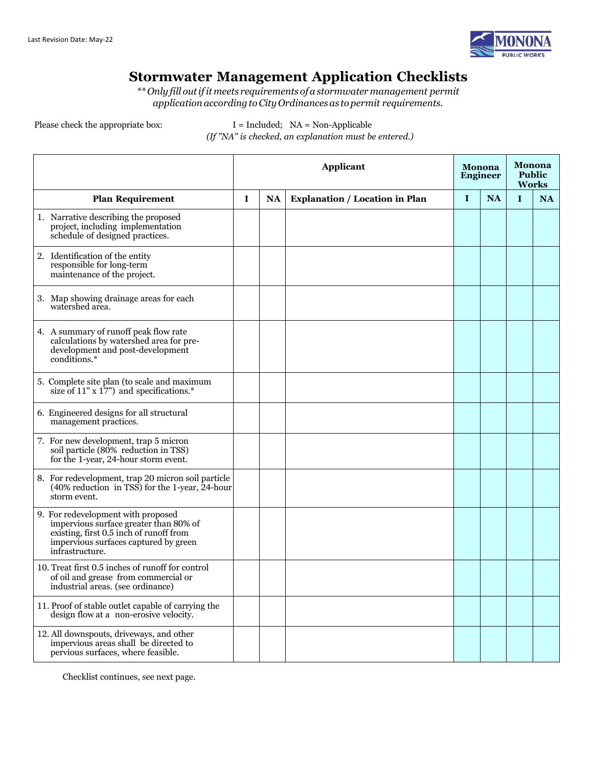

### **Stormwater Management Application Checklists**

*\*\* Only fill outifit meets requirements of a stormwater management permit applicationaccordingtoCityOrdinancesas to permit requirements.*

Please check the appropriate box:  $I = \text{Indued}$ ;  $NA = \text{Non-Applicable}$ *(If "NA" is checked, an explanation must be entered.)*

|                                                                                                                                                                                     |             | Applicant |                                       |             | <b>Monona</b><br><b>Engineer</b> | Monona<br><b>Public</b><br><b>Works</b> |           |  |
|-------------------------------------------------------------------------------------------------------------------------------------------------------------------------------------|-------------|-----------|---------------------------------------|-------------|----------------------------------|-----------------------------------------|-----------|--|
| <b>Plan Requirement</b>                                                                                                                                                             | $\mathbf I$ | <b>NA</b> | <b>Explanation / Location in Plan</b> | $\mathbf I$ | <b>NA</b>                        | $\mathbf{I}$                            | <b>NA</b> |  |
| 1. Narrative describing the proposed<br>project, including implementation<br>schedule of designed practices.                                                                        |             |           |                                       |             |                                  |                                         |           |  |
| 2. Identification of the entity<br>responsible for long-term<br>maintenance of the project.                                                                                         |             |           |                                       |             |                                  |                                         |           |  |
| 3. Map showing drainage areas for each<br>watershed area.                                                                                                                           |             |           |                                       |             |                                  |                                         |           |  |
| 4. A summary of runoff peak flow rate<br>calculations by watershed area for pre-<br>development and post-development<br>conditions.*                                                |             |           |                                       |             |                                  |                                         |           |  |
| 5. Complete site plan (to scale and maximum<br>size of $11" \times 17"$ and specifications.*                                                                                        |             |           |                                       |             |                                  |                                         |           |  |
| 6. Engineered designs for all structural<br>management practices.                                                                                                                   |             |           |                                       |             |                                  |                                         |           |  |
| 7. For new development, trap 5 micron<br>soil particle (80% reduction in TSS)<br>for the 1-year, 24-hour storm event.                                                               |             |           |                                       |             |                                  |                                         |           |  |
| 8. For redevelopment, trap 20 micron soil particle<br>$(40\% \text{ reduction} \text{ in TSS})$ for the 1-year, 24-hour<br>storm event.                                             |             |           |                                       |             |                                  |                                         |           |  |
| 9. For redevelopment with proposed<br>impervious surface greater than 80% of<br>existing, first 0.5 inch of runoff from<br>impervious surfaces captured by green<br>infrastructure. |             |           |                                       |             |                                  |                                         |           |  |
| 10. Treat first 0.5 inches of runoff for control<br>of oil and grease from commercial or<br>industrial areas. (see ordinance)                                                       |             |           |                                       |             |                                  |                                         |           |  |
| 11. Proof of stable outlet capable of carrying the<br>design flow at a non-erosive velocity.                                                                                        |             |           |                                       |             |                                  |                                         |           |  |
| 12. All downspouts, driveways, and other<br>impervious areas shall be directed to<br>pervious surfaces, where feasible.                                                             |             |           |                                       |             |                                  |                                         |           |  |

Checklist continues, see next page.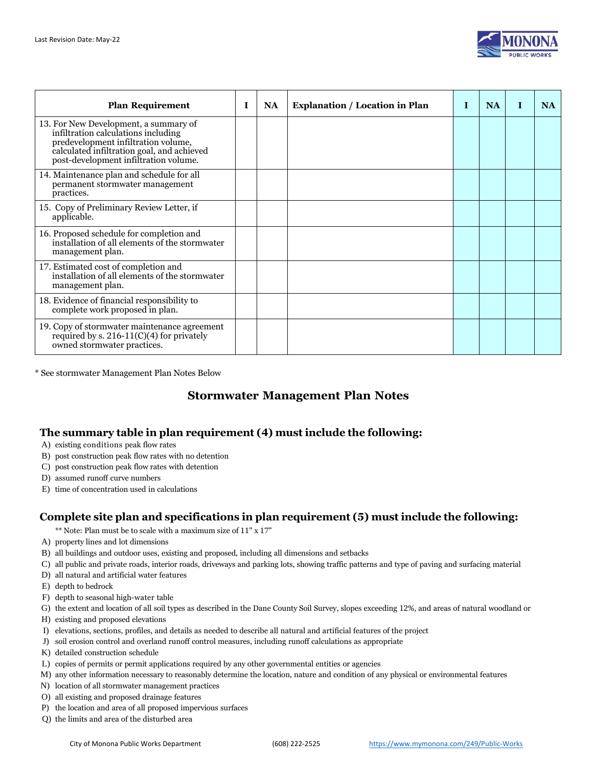

| <b>Plan Requirement</b>                                                                                                                                                                                    | I | <b>NA</b> | <b>Explanation / Location in Plan</b> | Т | <b>NA</b> | <b>NA</b> |
|------------------------------------------------------------------------------------------------------------------------------------------------------------------------------------------------------------|---|-----------|---------------------------------------|---|-----------|-----------|
| 13. For New Development, a summary of<br>infiltration calculations including<br>predevelopment infiltration volume,<br>calculated infiltration goal, and achieved<br>post-development infiltration volume. |   |           |                                       |   |           |           |
| 14. Maintenance plan and schedule for all<br>permanent stormwater management<br>practices.                                                                                                                 |   |           |                                       |   |           |           |
| 15. Copy of Preliminary Review Letter, if<br>applicable.                                                                                                                                                   |   |           |                                       |   |           |           |
| 16. Proposed schedule for completion and<br>installation of all elements of the stormwater<br>management plan.                                                                                             |   |           |                                       |   |           |           |
| 17. Estimated cost of completion and<br>installation of all elements of the stormwater<br>management plan.                                                                                                 |   |           |                                       |   |           |           |
| 18. Evidence of financial responsibility to<br>complete work proposed in plan.                                                                                                                             |   |           |                                       |   |           |           |
| 19. Copy of stormwater maintenance agreement<br>required by s. $216-11(C)(4)$ for privately<br>owned stormwater practices.                                                                                 |   |           |                                       |   |           |           |

\* See stormwater Management Plan Notes Below

### **Stormwater Management Plan Notes**

#### **The summary table in plan requirement (4) must include the following:**

A) existing conditions peak flow rates

- B) post construction peak flow rates with no detention
- C) post construction peak flow rates with detention
- D) assumed runoff curve numbers
- E) time of concentration used in calculations

#### **Complete site plan and specifications in plan requirement (5) must include the following:**

- \*\* Note: Plan must be to scale with a maximum size of 11" x 17"
- A) property lines and lot dimensions
- B) all buildings and outdoor uses, existing and proposed, including all dimensions and setbacks
- C) all public and private roads, interior roads, driveways and parking lots, showing traffic patterns and type of paving and surfacing material
- D) all natural and artificial water features
- E) depth to bedrock
- F) depth to seasonal high-water table
- G) the extent and location of all soil types as described in the Dane County Soil Survey, slopes exceeding 12%, and areas of natural woodland or
- H) existing and proposed elevations
- I) elevations, sections, profiles, and details as needed to describe all natural and artificial features of the project
- J) soil erosion control and overland runoff control measures, including runoff calculations as appropriate
- K) detailed construction schedule
- L) copies of permits or permit applications required by any other governmental entities or agencies
- M) any other information necessary to reasonably determine the location, nature and condition of any physical or environmental features
- N) location of all stormwater management practices
- O) all existing and proposed drainage features
- P) the location and area of all proposed impervious surfaces
- Q) the limits and area of the disturbed area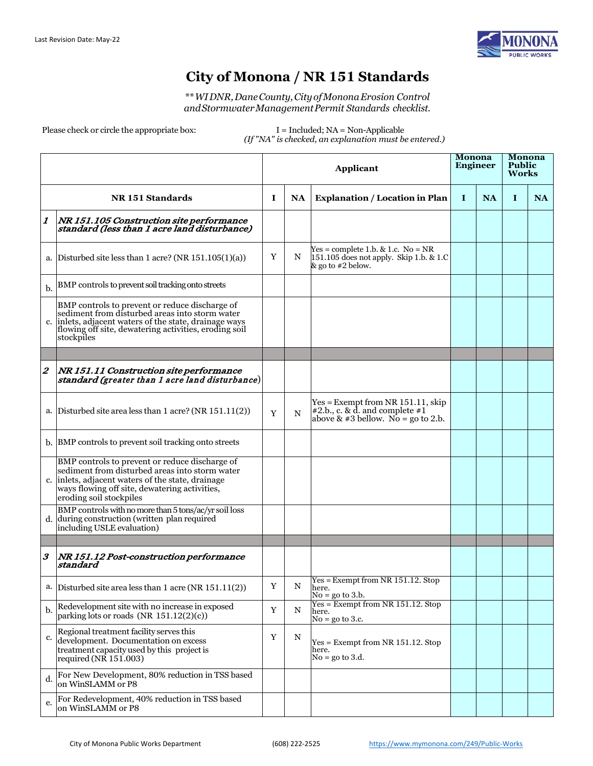

### **City of Monona / NR 151 Standards**

*\*\*WIDNR,DaneCounty,CityofMononaErosion Control andStormwaterManagementPermit Standards checklist.*

Please check or circle the appropriate box:  $I = \text{Indued}$ ; NA = Non-Applicable

*(If "NA" is checked, an explanation must be entered.)*

|                           |                                                                                                                                                                                                                                   | <b>Applicant</b> |             |                                                                                                                    | <b>Monona</b><br><b>Engineer</b> |           | Monona<br><b>Public</b><br>Works |           |
|---------------------------|-----------------------------------------------------------------------------------------------------------------------------------------------------------------------------------------------------------------------------------|------------------|-------------|--------------------------------------------------------------------------------------------------------------------|----------------------------------|-----------|----------------------------------|-----------|
|                           | NR 151 Standards                                                                                                                                                                                                                  | 1                | <b>NA</b>   | <b>Explanation / Location in Plan</b>                                                                              | 1                                | <b>NA</b> | T                                | <b>NA</b> |
| $\boldsymbol{\mathit{1}}$ | NR 151.105 Construction site performance<br>standard (less than 1 acre land disturbance)                                                                                                                                          |                  |             |                                                                                                                    |                                  |           |                                  |           |
| a.                        | Disturbed site less than 1 acre? (NR 151.105(1)(a))                                                                                                                                                                               | Y                | N           | $Yes = complete 1.b. & 1.c. No = NR$<br>151.105 does not apply. Skip 1.b. & 1.C<br>& go to #2 below.               |                                  |           |                                  |           |
| b.                        | BMP controls to prevent soil tracking onto streets                                                                                                                                                                                |                  |             |                                                                                                                    |                                  |           |                                  |           |
| c.                        | BMP controls to prevent or reduce discharge of<br>sediment from disturbed areas into storm water<br>inlets, adjacent waters of the state, drainage ways<br>flowing off site, dewatering activities, eroding soil<br>stockpiles    |                  |             |                                                                                                                    |                                  |           |                                  |           |
|                           |                                                                                                                                                                                                                                   |                  |             |                                                                                                                    |                                  |           |                                  |           |
| $\boldsymbol{2}$          | NR 151.11 Construction site performance<br>standard (greater than 1 acre land disturbance)                                                                                                                                        |                  |             |                                                                                                                    |                                  |           |                                  |           |
| a.                        | Disturbed site area less than 1 acre? (NR 151.11(2))                                                                                                                                                                              | Y                | N           | $Yes = Exempt from NR 151.11, skip$<br>$\#2.b., c. \& d.$ and complete $\#1$<br>above & #3 bellow. No = go to 2.b. |                                  |           |                                  |           |
|                           | b. BMP controls to prevent soil tracking onto streets                                                                                                                                                                             |                  |             |                                                                                                                    |                                  |           |                                  |           |
|                           | BMP controls to prevent or reduce discharge of<br>sediment from disturbed areas into storm water<br>c. inlets, adjacent waters of the state, drainage<br>ways flowing off site, dewatering activities,<br>eroding soil stockpiles |                  |             |                                                                                                                    |                                  |           |                                  |           |
| d.                        | BMP controls with no more than 5 tons/ac/yr soil loss<br>during construction (written plan required<br>including USLE evaluation)                                                                                                 |                  |             |                                                                                                                    |                                  |           |                                  |           |
|                           |                                                                                                                                                                                                                                   |                  |             |                                                                                                                    |                                  |           |                                  |           |
| $\boldsymbol{\beta}$      | NR 151.12 Post-construction performance<br>standard                                                                                                                                                                               |                  |             |                                                                                                                    |                                  |           |                                  |           |
|                           | a. Disturbed site area less than $1$ acre (NR $151.11(2)$ )                                                                                                                                                                       | Y                | $\mathbf N$ | $Yes = Exempt from NR 151.12. Stop$<br>here.<br>$No = go to 3.b.$                                                  |                                  |           |                                  |           |
| b.                        | Redevelopment site with no increase in exposed<br>parking lots or roads (NR 151.12(2)(c))                                                                                                                                         | Y                | N           | $Yes = Exempt from NR 151.12. Stop$<br>here.<br>$No = go to 3.c.$                                                  |                                  |           |                                  |           |
| c.                        | Regional treatment facility serves this<br>development. Documentation on excess<br>treatment capacity used by this project is<br>required (NR 151.003)                                                                            | Y                | N           | $Yes = Exempt from NR 151.12. Stop$<br>here.<br>$No = go to 3.d.$                                                  |                                  |           |                                  |           |
| d.                        | For New Development, 80% reduction in TSS based<br>on WinSLAMM or P8                                                                                                                                                              |                  |             |                                                                                                                    |                                  |           |                                  |           |
| e.                        | For Redevelopment, 40% reduction in TSS based<br>on WinSLAMM or P8                                                                                                                                                                |                  |             |                                                                                                                    |                                  |           |                                  |           |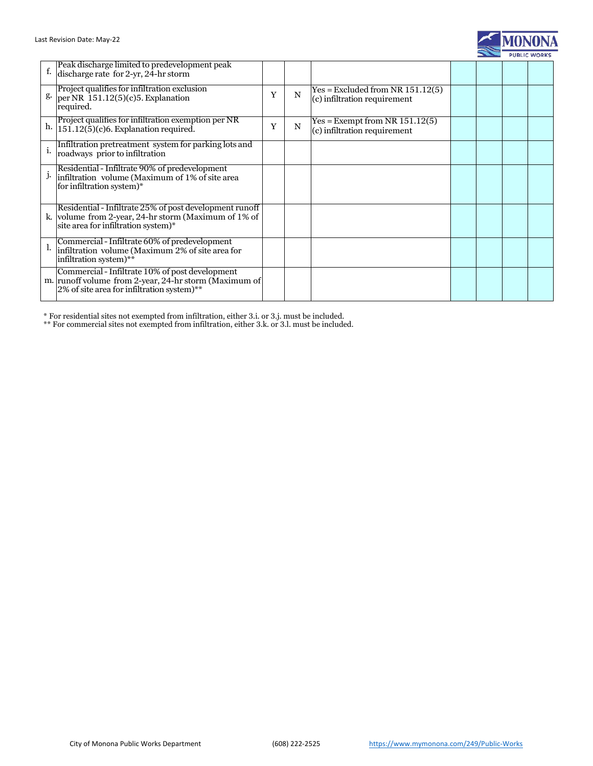

| f. | Peak discharge limited to predevelopment peak<br>discharge rate for 2-yr, 24-hr storm                                                                  |   |   |                                                                    |  |  |
|----|--------------------------------------------------------------------------------------------------------------------------------------------------------|---|---|--------------------------------------------------------------------|--|--|
|    | Project qualifies for infiltration exclusion $\S$ -<br>Per NR 151.12(5)(c)5. Explanation<br>required.                                                  | Y | N | $Yes = Excluded from NR 151.12(5)$<br>(c) infiltration requirement |  |  |
| h. | Project qualifies for infiltration exemption per NR<br>$151.12(5)(c)6$ . Explanation required.                                                         | Y | N | $Yes = Exempt from NR 151.12(5)$<br>(c) infiltration requirement   |  |  |
| i. | Infiltration pretreatment system for parking lots and<br>roadways prior to infiltration                                                                |   |   |                                                                    |  |  |
|    | Residential - Infiltrate 90% of predevelopment<br>$\dot{J}$ . infiltration volume (Maximum of 1% of site area<br>for infiltration system)*             |   |   |                                                                    |  |  |
|    | Residential - Infiltrate 25% of post development runoff<br>k. volume from 2-year, 24-hr storm (Maximum of 1% of<br>site area for infiltration system)* |   |   |                                                                    |  |  |
|    | Commercial - Infiltrate 60% of predevelopment<br>infiltration volume (Maximum 2% of site area for<br>infiltration system)**                            |   |   |                                                                    |  |  |
|    | Commercial - Infiltrate 10% of post development<br>m. runoff volume from 2-year, 24-hr storm (Maximum of<br>2% of site area for infiltration system)** |   |   |                                                                    |  |  |

\* For residential sites not exempted from infiltration, either 3.i. or 3.j. must be included.

\*\* For commercial sites not exempted from infiltration, either 3.k. or 3.l. must be included.